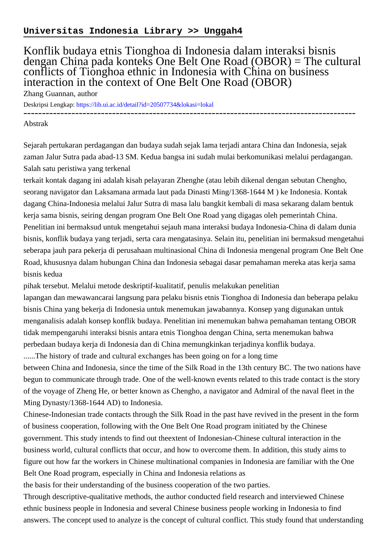## **Universitas Indonesia Library >> Unggah4**

## Konflik budaya etnis Tionghoa di Indonesia dalam interaksi bisnis dengan China pada konteks One Belt One Road (OBOR) = The cultural conflicts of Tionghoa ethnic in Indonesia with China on business interaction in the context of One Belt One Road (OBOR)

Zhang Guannan, author

Deskripsi Lengkap:<https://lib.ui.ac.id/detail?id=20507734&lokasi=lokal> ------------------------------------------------------------------------------------------

## Abstrak

Sejarah pertukaran perdagangan dan budaya sudah sejak lama terjadi antara China dan Indonesia, sejak zaman Jalur Sutra pada abad-13 SM. Kedua bangsa ini sudah mulai berkomunikasi melalui perdagangan. Salah satu peristiwa yang terkenal

terkait kontak dagang ini adalah kisah pelayaran Zhenghe (atau lebih dikenal dengan sebutan Chengho, seorang navigator dan Laksamana armada laut pada Dinasti Ming/1368-1644 M ) ke Indonesia. Kontak dagang China-Indonesia melalui Jalur Sutra di masa lalu bangkit kembali di masa sekarang dalam bentuk kerja sama bisnis, seiring dengan program One Belt One Road yang digagas oleh pemerintah China. Penelitian ini bermaksud untuk mengetahui sejauh mana interaksi budaya Indonesia-China di dalam dunia bisnis, konflik budaya yang terjadi, serta cara mengatasinya. Selain itu, penelitian ini bermaksud mengetahui seberapa jauh para pekerja di perusahaan multinasional China di Indonesia mengenal program One Belt One Road, khususnya dalam hubungan China dan Indonesia sebagai dasar pemahaman mereka atas kerja sama bisnis kedua

pihak tersebut. Melalui metode deskriptif-kualitatif, penulis melakukan penelitian

lapangan dan mewawancarai langsung para pelaku bisnis etnis Tionghoa di Indonesia dan beberapa pelaku bisnis China yang bekerja di Indonesia untuk menemukan jawabannya. Konsep yang digunakan untuk menganalisis adalah konsep konflik budaya. Penelitian ini menemukan bahwa pemahaman tentang OBOR tidak mempengaruhi interaksi bisnis antara etnis Tionghoa dengan China, serta menemukan bahwa perbedaan budaya kerja di Indonesia dan di China memungkinkan terjadinya konflik budaya.

......The history of trade and cultural exchanges has been going on for a long time

between China and Indonesia, since the time of the Silk Road in the 13th century BC. The two nations have begun to communicate through trade. One of the well-known events related to this trade contact is the story of the voyage of Zheng He, or better known as Chengho, a navigator and Admiral of the naval fleet in the Ming Dynasty/1368-1644 AD) to Indonesia.

Chinese-Indonesian trade contacts through the Silk Road in the past have revived in the present in the form of business cooperation, following with the One Belt One Road program initiated by the Chinese government. This study intends to find out theextent of Indonesian-Chinese cultural interaction in the business world, cultural conflicts that occur, and how to overcome them. In addition, this study aims to figure out how far the workers in Chinese multinational companies in Indonesia are familiar with the One Belt One Road program, especially in China and Indonesia relations as

the basis for their understanding of the business cooperation of the two parties.

Through descriptive-qualitative methods, the author conducted field research and interviewed Chinese ethnic business people in Indonesia and several Chinese business people working in Indonesia to find answers. The concept used to analyze is the concept of cultural conflict. This study found that understanding